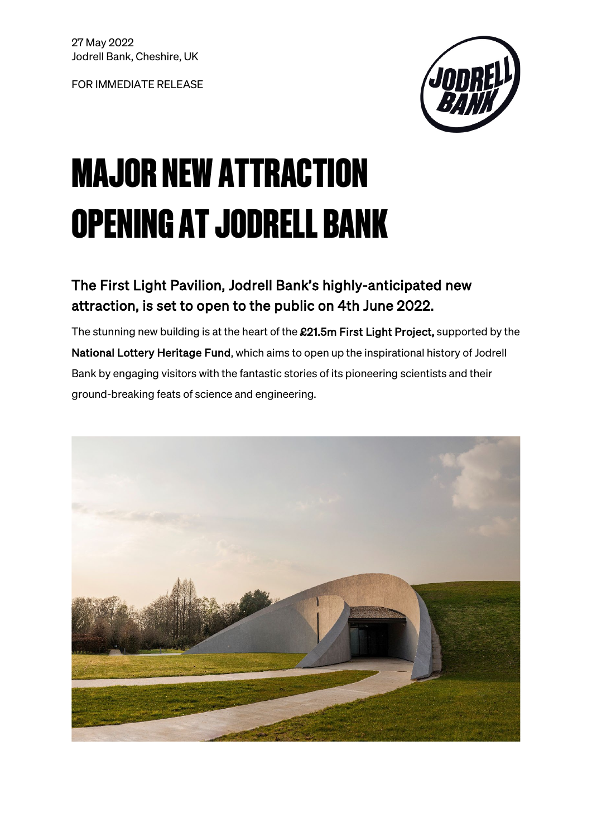FOR IMMEDIATE RELEASE



# MAJOR NEW ATTRACTION OPENING AT JODRELL BANK

# The First Light Pavilion, Jodrell Bank's highly-anticipated new attraction, is set to open to the public on 4th June 2022.

The stunning new building is at the heart of the £21.5m First Light Project, supported by the National Lottery Heritage Fund, which aims to open up the inspirational history of Jodrell Bank by engaging visitors with the fantastic stories of its pioneering scientists and their ground-breaking feats of science and engineering.

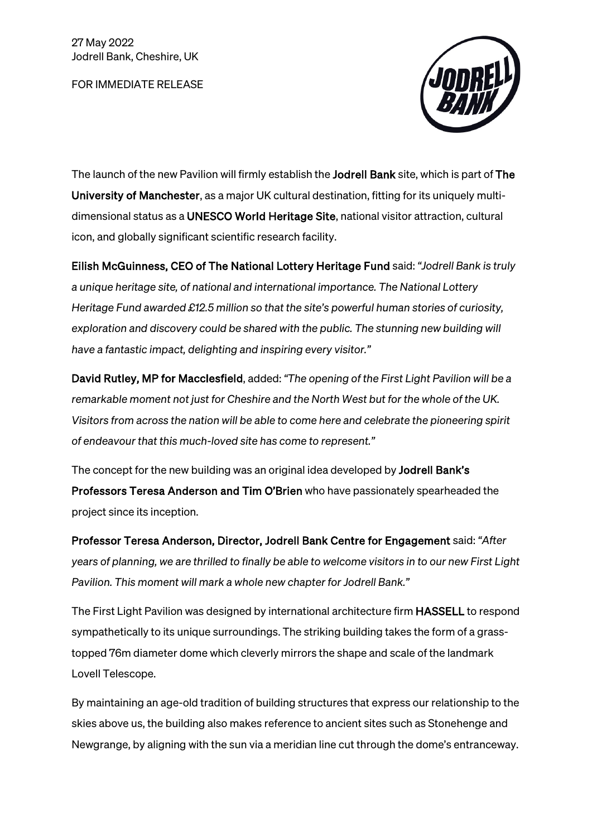FOR IMMEDIATE RELEASE



The launch of the new Pavilion will firmly establish the Jodrell Bank site, which is part of The University of Manchester, as a major UK cultural destination, fitting for its uniquely multidimensional status as a UNESCO World Heritage Site, national visitor attraction, cultural icon, and globally significant scientific research facility.

Eilish McGuinness, CEO of The National Lottery Heritage Fund said: *"Jodrell Bank is truly a unique heritage site, of national and international importance. The National Lottery Heritage Fund awarded £12.5 million so that the site's powerful human stories of curiosity, exploration and discovery could be shared with the public. The stunning new building will have a fantastic impact, delighting and inspiring every visitor."*

David Rutley, MP for Macclesfield, added: *"The opening of the First Light Pavilion will be a remarkable moment not just for Cheshire and the North West but for the whole of the UK. Visitors from across the nation will be able to come here and celebrate the pioneering spirit of endeavour that this much-loved site has come to represent."*

The concept for the new building was an original idea developed by **Jodrell Bank's** Professors Teresa Anderson and Tim O'Brien who have passionately spearheaded the project since its inception.

Professor Teresa Anderson, Director, Jodrell Bank Centre for Engagement said: *"After years of planning, we are thrilled to finally be able to welcome visitors in to our new First Light Pavilion. This moment will mark a whole new chapter for Jodrell Bank."*

The First Light Pavilion was designed by international architecture firm HASSELL to respond sympathetically to its unique surroundings. The striking building takes the form of a grasstopped 76m diameter dome which cleverly mirrors the shape and scale of the landmark Lovell Telescope.

By maintaining an age-old tradition of building structures that express our relationship to the skies above us, the building also makes reference to ancient sites such as Stonehenge and Newgrange, by aligning with the sun via a meridian line cut through the dome's entranceway.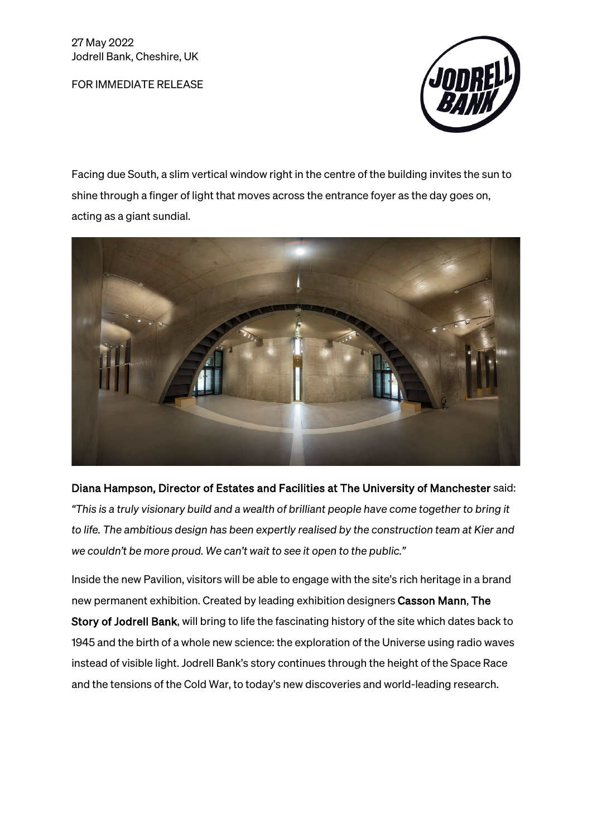FOR IMMEDIATE RELEASE



Facing due South, a slim vertical window right in the centre of the building invites the sun to shine through a finger of light that moves across the entrance foyer as the day goes on, acting as a giant sundial.



Diana Hampson, Director of Estates and Facilities at The University of Manchester said: *"This is a truly visionary build and a wealth of brilliant people have come together to bring it to life. The ambitious design has been expertly realised by the construction team at Kier and we couldn't be more proud. We can't wait to see it open to the public."*

Inside the new Pavilion, visitors will be able to engage with the site's rich heritage in a brand new permanent exhibition. Created by leading exhibition designers Casson Mann, The Story of Jodrell Bank, will bring to life the fascinating history of the site which dates back to 1945 and the birth of a whole new science: the exploration of the Universe using radio waves instead of visible light. Jodrell Bank's story continues through the height of the Space Race and the tensions of the Cold War, to today's new discoveries and world-leading research.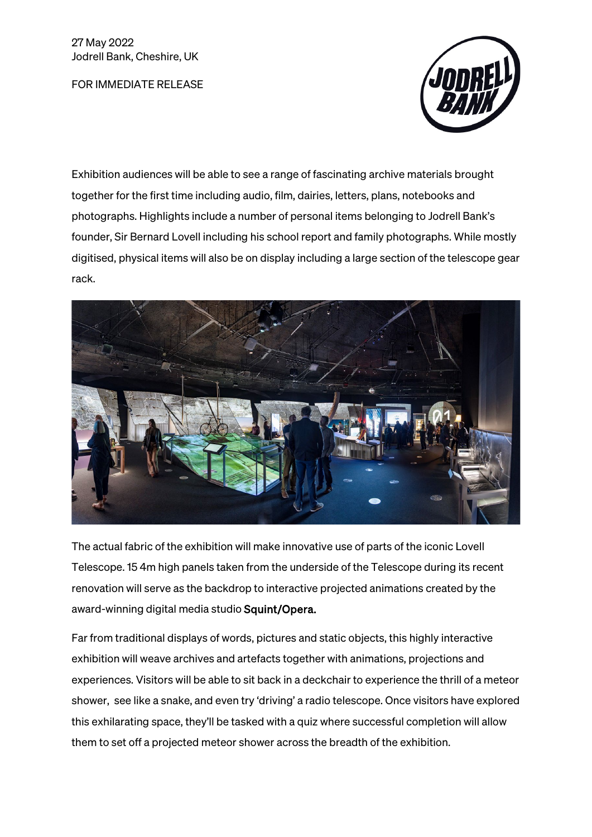FOR IMMEDIATE RELEASE



Exhibition audiences will be able to see a range of fascinating archive materials brought together for the first time including audio, film, dairies, letters, plans, notebooks and photographs. Highlights include a number of personal items belonging to Jodrell Bank's founder, Sir Bernard Lovell including his school report and family photographs. While mostly digitised, physical items will also be on display including a large section of the telescope gear rack.



The actual fabric of the exhibition will make innovative use of parts of the iconic Lovell Telescope. 15 4m high panels taken from the underside of the Telescope during its recent renovation will serve as the backdrop to interactive projected animations created by the award-winning digital media studio Squint/Opera.

Far from traditional displays of words, pictures and static objects, this highly interactive exhibition will weave archives and artefacts together with animations, projections and experiences. Visitors will be able to sit back in a deckchair to experience the thrill of a meteor shower, see like a snake, and even try 'driving' a radio telescope. Once visitors have explored this exhilarating space, they'll be tasked with a quiz where successful completion will allow them to set off a projected meteor shower across the breadth of the exhibition.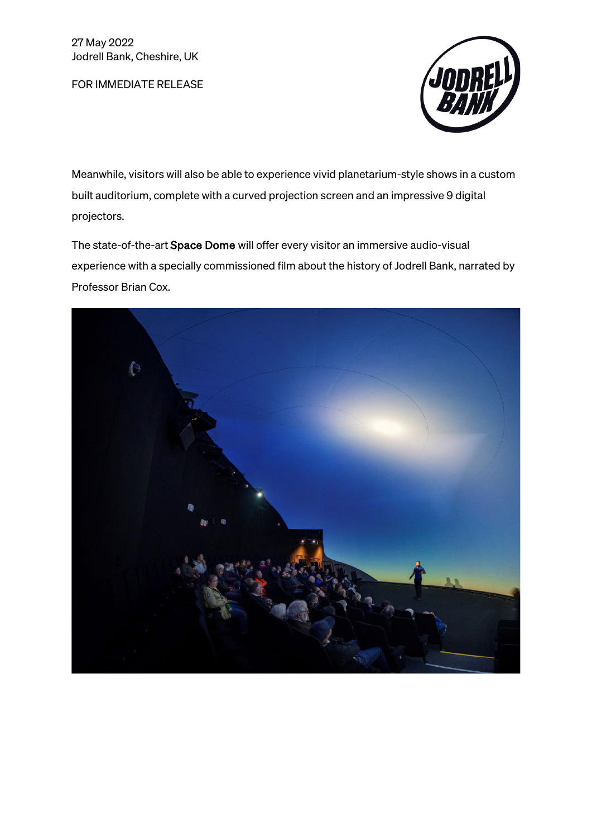FOR IMMEDIATE RELEASE



Meanwhile, visitors will also be able to experience vivid planetarium-style shows in a custom built auditorium, complete with a curved projection screen and an impressive 9 digital projectors.

The state-of-the-art Space Dome will offer every visitor an immersive audio-visual experience with a specially commissioned film about the history of Jodrell Bank, narrated by Professor Brian Cox.

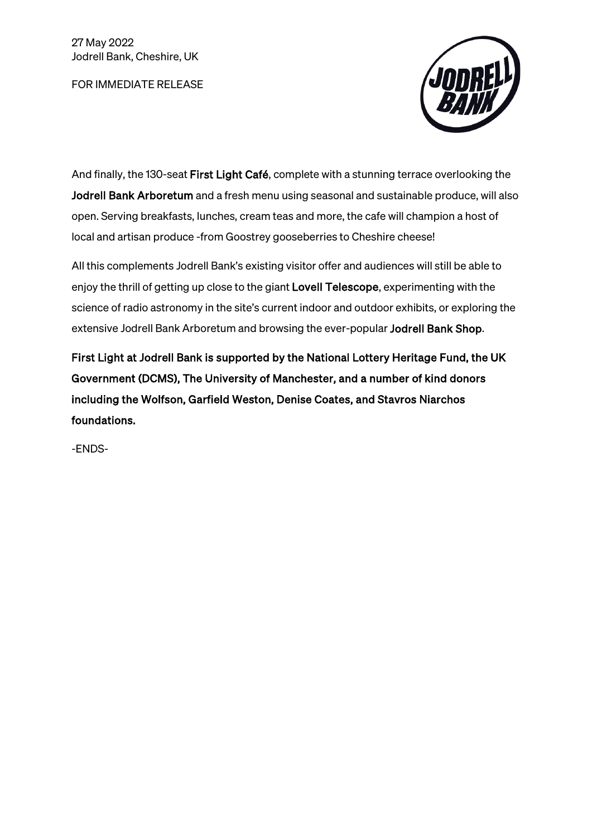FOR IMMEDIATE RELEASE



And finally, the 130-seat First Light Café, complete with a stunning terrace overlooking the Jodrell Bank Arboretum and a fresh menu using seasonal and sustainable produce, will also open. Serving breakfasts, lunches, cream teas and more, the cafe will champion a host of local and artisan produce -from Goostrey gooseberries to Cheshire cheese!

All this complements Jodrell Bank's existing visitor offer and audiences will still be able to enjoy the thrill of getting up close to the giant Lovell Telescope, experimenting with the science of radio astronomy in the site's current indoor and outdoor exhibits, or exploring the extensive Jodrell Bank Arboretum and browsing the ever-popular Jodrell Bank Shop.

First Light at Jodrell Bank is supported by the National Lottery Heritage Fund, the UK Government (DCMS), The University of Manchester, and a number of kind donors including the Wolfson, Garfield Weston, Denise Coates, and Stavros Niarchos foundations.

-ENDS-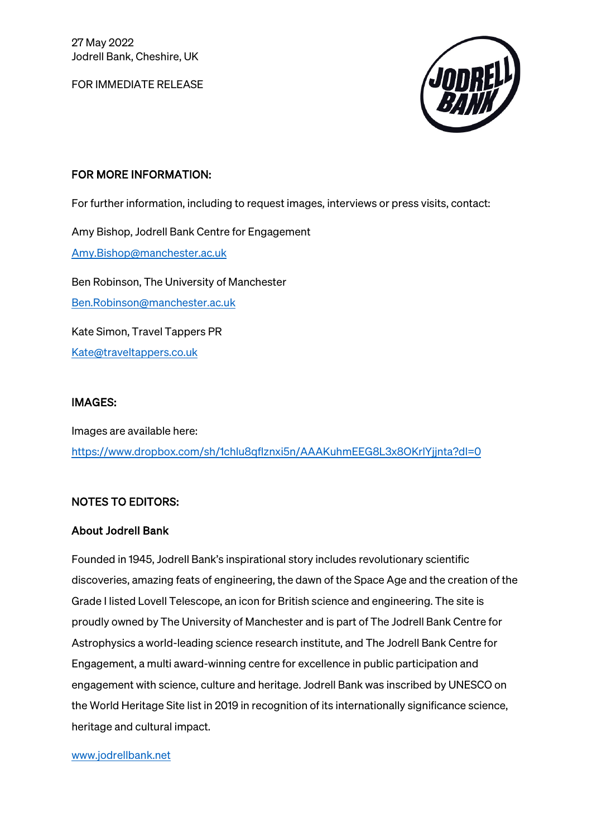FOR IMMEDIATE RELEASE



# FOR MORE INFORMATION:

For further information, including to request images, interviews or press visits, contact:

Amy Bishop, Jodrell Bank Centre for Engagement [Amy.Bishop@manchester.ac.uk](mailto:Amy.Bishop@manchester.ac.uk)  Ben Robinson, The University of Manchester [Ben.Robinson@manchester.ac.uk](mailto:Ben.Robinson@manchester.ac.uk) 

Kate Simon, Travel Tappers PR [Kate@traveltappers.co.uk](mailto:Kate@traveltappers.co.uk) 

# IMAGES:

Images are available here: <https://www.dropbox.com/sh/1chlu8qflznxi5n/AAAKuhmEEG8L3x8OKrlYjjnta?dl=0>

# NOTES TO EDITORS:

# About Jodrell Bank

Founded in 1945, Jodrell Bank's inspirational story includes revolutionary scientific discoveries, amazing feats of engineering, the dawn of the Space Age and the creation of the Grade I listed Lovell Telescope, an icon for British science and engineering. The site is proudly owned by The University of Manchester and is part of The Jodrell Bank Centre for Astrophysics a world-leading science research institute, and The Jodrell Bank Centre for Engagement, a multi award-winning centre for excellence in public participation and engagement with science, culture and heritage. Jodrell Bank was inscribed by UNESCO on the World Heritage Site list in 2019 in recognition of its internationally significance science, heritage and cultural impact.

#### [www.jodrellbank.net](http://www.jodrellbank.net/)